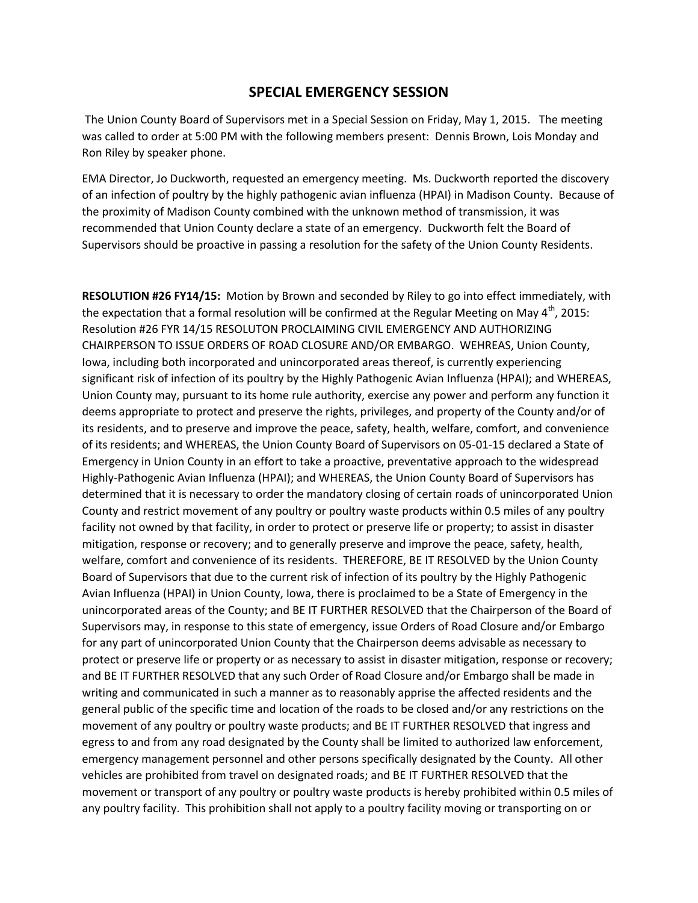## **SPECIAL EMERGENCY SESSION**

The Union County Board of Supervisors met in a Special Session on Friday, May 1, 2015. The meeting was called to order at 5:00 PM with the following members present: Dennis Brown, Lois Monday and Ron Riley by speaker phone.

EMA Director, Jo Duckworth, requested an emergency meeting. Ms. Duckworth reported the discovery of an infection of poultry by the highly pathogenic avian influenza (HPAI) in Madison County. Because of the proximity of Madison County combined with the unknown method of transmission, it was recommended that Union County declare a state of an emergency. Duckworth felt the Board of Supervisors should be proactive in passing a resolution for the safety of the Union County Residents.

**RESOLUTION #26 FY14/15:** Motion by Brown and seconded by Riley to go into effect immediately, with the expectation that a formal resolution will be confirmed at the Regular Meeting on May  $4<sup>th</sup>$ , 2015: Resolution #26 FYR 14/15 RESOLUTON PROCLAIMING CIVIL EMERGENCY AND AUTHORIZING CHAIRPERSON TO ISSUE ORDERS OF ROAD CLOSURE AND/OR EMBARGO. WEHREAS, Union County, Iowa, including both incorporated and unincorporated areas thereof, is currently experiencing significant risk of infection of its poultry by the Highly Pathogenic Avian Influenza (HPAI); and WHEREAS, Union County may, pursuant to its home rule authority, exercise any power and perform any function it deems appropriate to protect and preserve the rights, privileges, and property of the County and/or of its residents, and to preserve and improve the peace, safety, health, welfare, comfort, and convenience of its residents; and WHEREAS, the Union County Board of Supervisors on 05-01-15 declared a State of Emergency in Union County in an effort to take a proactive, preventative approach to the widespread Highly-Pathogenic Avian Influenza (HPAI); and WHEREAS, the Union County Board of Supervisors has determined that it is necessary to order the mandatory closing of certain roads of unincorporated Union County and restrict movement of any poultry or poultry waste products within 0.5 miles of any poultry facility not owned by that facility, in order to protect or preserve life or property; to assist in disaster mitigation, response or recovery; and to generally preserve and improve the peace, safety, health, welfare, comfort and convenience of its residents. THEREFORE, BE IT RESOLVED by the Union County Board of Supervisors that due to the current risk of infection of its poultry by the Highly Pathogenic Avian Influenza (HPAI) in Union County, Iowa, there is proclaimed to be a State of Emergency in the unincorporated areas of the County; and BE IT FURTHER RESOLVED that the Chairperson of the Board of Supervisors may, in response to this state of emergency, issue Orders of Road Closure and/or Embargo for any part of unincorporated Union County that the Chairperson deems advisable as necessary to protect or preserve life or property or as necessary to assist in disaster mitigation, response or recovery; and BE IT FURTHER RESOLVED that any such Order of Road Closure and/or Embargo shall be made in writing and communicated in such a manner as to reasonably apprise the affected residents and the general public of the specific time and location of the roads to be closed and/or any restrictions on the movement of any poultry or poultry waste products; and BE IT FURTHER RESOLVED that ingress and egress to and from any road designated by the County shall be limited to authorized law enforcement, emergency management personnel and other persons specifically designated by the County. All other vehicles are prohibited from travel on designated roads; and BE IT FURTHER RESOLVED that the movement or transport of any poultry or poultry waste products is hereby prohibited within 0.5 miles of any poultry facility. This prohibition shall not apply to a poultry facility moving or transporting on or